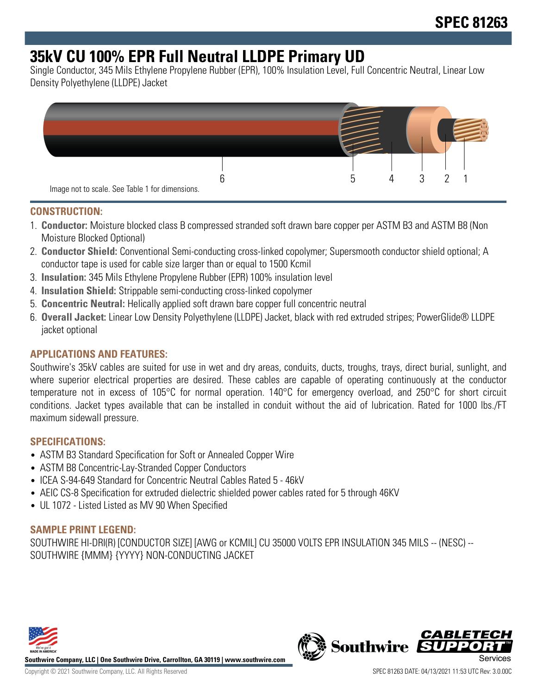# **35kV CU 100% EPR Full Neutral LLDPE Primary UD**

Single Conductor, 345 Mils Ethylene Propylene Rubber (EPR), 100% Insulation Level, Full Concentric Neutral, Linear Low Density Polyethylene (LLDPE) Jacket



## **CONSTRUCTION:**

- 1. **Conductor:** Moisture blocked class B compressed stranded soft drawn bare copper per ASTM B3 and ASTM B8 (Non Moisture Blocked Optional)
- 2. **Conductor Shield:** Conventional Semi-conducting cross-linked copolymer; Supersmooth conductor shield optional; A conductor tape is used for cable size larger than or equal to 1500 Kcmil
- 3. **Insulation:** 345 Mils Ethylene Propylene Rubber (EPR) 100% insulation level
- 4. **Insulation Shield:** Strippable semi-conducting cross-linked copolymer
- 5. **Concentric Neutral:** Helically applied soft drawn bare copper full concentric neutral
- 6. **Overall Jacket:** Linear Low Density Polyethylene (LLDPE) Jacket, black with red extruded stripes; PowerGlide® LLDPE jacket optional

# **APPLICATIONS AND FEATURES:**

Southwire's 35kV cables are suited for use in wet and dry areas, conduits, ducts, troughs, trays, direct burial, sunlight, and where superior electrical properties are desired. These cables are capable of operating continuously at the conductor temperature not in excess of 105°C for normal operation. 140°C for emergency overload, and 250°C for short circuit conditions. Jacket types available that can be installed in conduit without the aid of lubrication. Rated for 1000 lbs./FT maximum sidewall pressure.

#### **SPECIFICATIONS:**

- ASTM B3 Standard Specification for Soft or Annealed Copper Wire
- ASTM B8 Concentric-Lay-Stranded Copper Conductors
- ICEA S-94-649 Standard for Concentric Neutral Cables Rated 5 46kV
- AEIC CS-8 Specification for extruded dielectric shielded power cables rated for 5 through 46KV
- UL 1072 Listed Listed as MV 90 When Specified

#### **SAMPLE PRINT LEGEND:**

SOUTHWIRE HI-DRI(R) [CONDUCTOR SIZE] [AWG or KCMIL] CU 35000 VOLTS EPR INSULATION 345 MILS -- (NESC) -- SOUTHWIRE {MMM} {YYYY} NON-CONDUCTING JACKET



**Southwire Company, LLC | One Southwire Drive, Carrollton, GA 30119 | www.southwire.com**

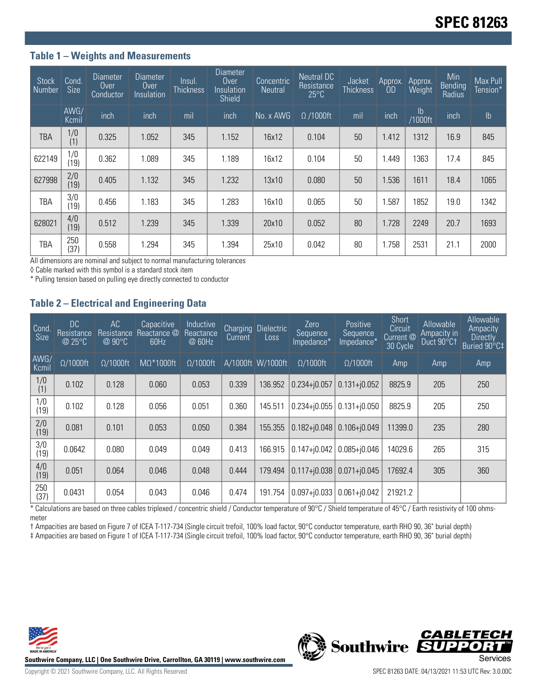## **Table 1 – Weights and Measurements**

| <b>Stock</b><br>Number | Cond.<br><b>Size</b> | Diameter<br>Over<br><b>Conductor</b> | Diameter<br>Over<br>Insulation | Insul.<br><b>Thickness</b> | <b>Diameter</b><br>Over<br>Insulation<br>Shield | Concentric<br><b>Neutral</b> | Neutral DC<br>Resistance<br>$25^{\circ}$ C | Jacket<br><b>Thickness</b> | Approx.<br>0D | Approx.<br>Weight        | Min<br>Bending<br>Radius | Max Pull<br>Tension* |
|------------------------|----------------------|--------------------------------------|--------------------------------|----------------------------|-------------------------------------------------|------------------------------|--------------------------------------------|----------------------------|---------------|--------------------------|--------------------------|----------------------|
|                        | AWG/<br>Kcmil        | inch                                 | inch                           | mil                        | inch                                            | No. x AWG                    | $\Omega$ /1000ft                           | mil                        | inch          | $\mathsf{lb}$<br>/1000ft | inch                     | $\mathsf{lb}$        |
| TBA                    | 1/0<br>(1)           | 0.325                                | 1.052                          | 345                        | 1.152                                           | 16x12                        | 0.104                                      | 50                         | 1.412         | 1312                     | 16.9                     | 845                  |
| 622149                 | 1/0<br>(19)          | 0.362                                | 1.089                          | 345                        | 1.189                                           | 16x12                        | 0.104                                      | 50                         | 1.449         | 1363                     | 17.4                     | 845                  |
| 627998                 | 2/0<br>(19)          | 0.405                                | 1.132                          | 345                        | 1.232                                           | 13x10                        | 0.080                                      | 50                         | 1.536         | 1611                     | 18.4                     | 1065                 |
| TBA                    | 3/0<br>(19)          | 0.456                                | 1.183                          | 345                        | 1.283                                           | 16x10                        | 0.065                                      | 50                         | 1.587         | 1852                     | 19.0                     | 1342                 |
| 628021                 | 4/0<br>(19)          | 0.512                                | 1.239                          | 345                        | 1.339                                           | 20x10                        | 0.052                                      | 80                         | 1.728         | 2249                     | 20.7                     | 1693                 |
| TBA                    | 250<br>(37)          | 0.558                                | 1.294                          | 345                        | 1.394                                           | 25x10                        | 0.042                                      | 80                         | 1.758         | 2531                     | 21.1                     | 2000                 |

All dimensions are nominal and subject to normal manufacturing tolerances

◊ Cable marked with this symbol is a standard stock item

\* Pulling tension based on pulling eye directly connected to conductor

## **Table 2 – Electrical and Engineering Data**

| Cond<br><b>Size</b> | DC<br><b>Resistance</b><br>@ 25°C | AC<br>Resistance<br>$@90^{\circ}C$ | Capacitive<br>Reactance @<br>60Hz | Inductive<br>Reactance<br>@ 60Hz | <b>Charging</b><br>Current | <b>Dielectric</b><br>Loss | Zero<br>Sequence<br>Impedance* | Positive<br>Sequence<br>Impedance* | Short<br>Circuit<br>Current @<br>30 Cycle | Allowable<br>Ampacity in<br>Duct 90°C1 | Allowable<br>Ampacity<br><b>Directly</b><br>Buried 90°C‡ |
|---------------------|-----------------------------------|------------------------------------|-----------------------------------|----------------------------------|----------------------------|---------------------------|--------------------------------|------------------------------------|-------------------------------------------|----------------------------------------|----------------------------------------------------------|
| AWG/<br>Kcmil       | $\Omega/1000$ ft                  | $\Omega/1000$ ft                   | $M\Omega^*1000$ ft                | $\Omega/1000$ ft                 |                            | A/1000ft W/1000ft         | $\Omega/1000$ ft               | $\Omega/1000$ ft                   | Amp                                       | Amp                                    | Amp                                                      |
| 1/0<br>(1)          | 0.102                             | 0.128                              | 0.060                             | 0.053                            | 0.339                      | 136.952                   | $0.234 + j0.057$               | $0.131 + j0.052$                   | 8825.9                                    | 205                                    | 250                                                      |
| 1/0<br>(19)         | 0.102                             | 0.128                              | 0.056                             | 0.051                            | 0.360                      | 145.511                   | $0.234 + 0.055$                | $0.131 + j0.050$                   | 8825.9                                    | 205                                    | 250                                                      |
| 2/0<br>(19)         | 0.081                             | 0.101                              | 0.053                             | 0.050                            | 0.384                      | 155.355                   | $0.182 + j0.048$               | $0.106 + j0.049$                   | 11399.0                                   | 235                                    | 280                                                      |
| 3/0<br>(19)         | 0.0642                            | 0.080                              | 0.049                             | 0.049                            | 0.413                      | 166.915                   | $0.147 + 0.042$                | $0.085 + j0.046$                   | 14029.6                                   | 265                                    | 315                                                      |
| 4/0<br>(19)         | 0.051                             | 0.064                              | 0.046                             | 0.048                            | 0.444                      | 179.494                   | $0.117 + 0.038$                | $0.071 + j0.045$                   | 17692.4                                   | 305                                    | 360                                                      |
| 250<br>(37)         | 0.0431                            | 0.054                              | 0.043                             | 0.046                            | 0.474                      | 191.754                   | $0.097 + 0.033$                | $0.061 + j0.042$                   | 21921.2                                   |                                        |                                                          |

\* Calculations are based on three cables triplexed / concentric shield / Conductor temperature of 90°C / Shield temperature of 45°C / Earth resistivity of 100 ohmsmeter

† Ampacities are based on Figure 7 of ICEA T-117-734 (Single circuit trefoil, 100% load factor, 90°C conductor temperature, earth RHO 90, 36" burial depth)

‡ Ampacities are based on Figure 1 of ICEA T-117-734 (Single circuit trefoil, 100% load factor, 90°C conductor temperature, earth RHO 90, 36" burial depth)